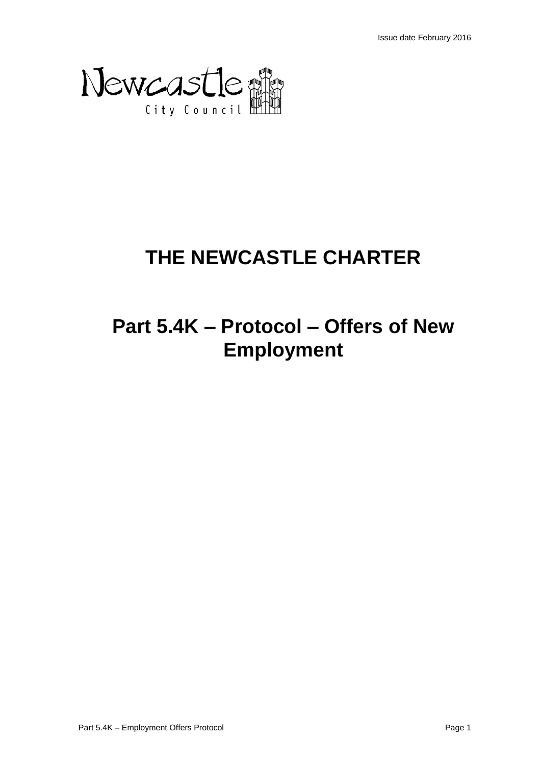

# **THE NEWCASTLE CHARTER**

## **Part 5.4K – Protocol – Offers of New Employment**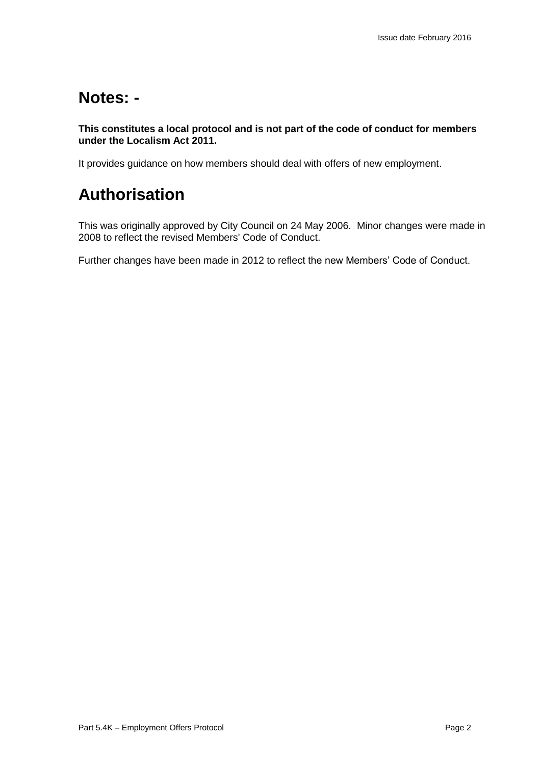### **Notes: -**

**This constitutes a local protocol and is not part of the code of conduct for members under the Localism Act 2011.** 

It provides guidance on how members should deal with offers of new employment.

## **Authorisation**

This was originally approved by City Council on 24 May 2006. Minor changes were made in 2008 to reflect the revised Members' Code of Conduct.

Further changes have been made in 2012 to reflect the new Members' Code of Conduct.